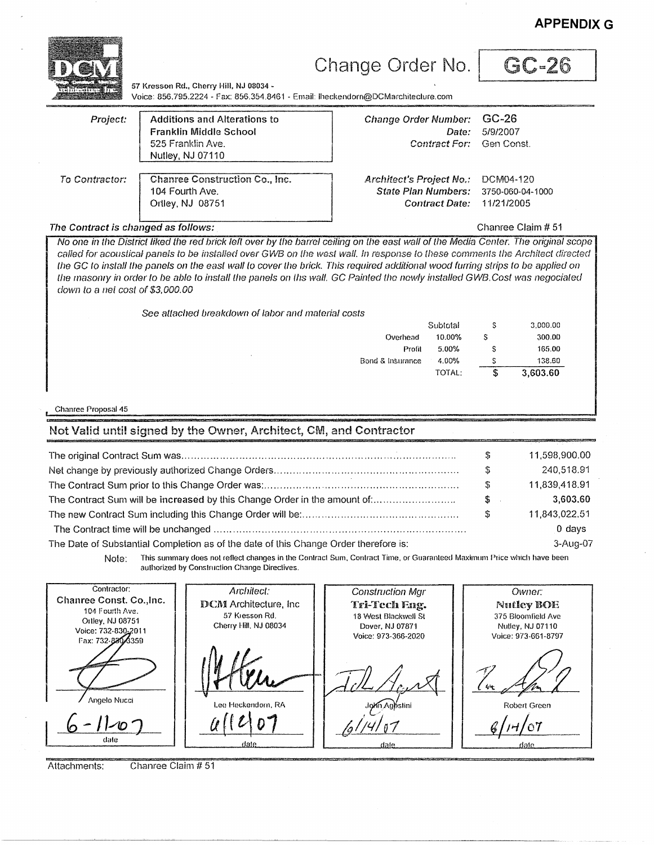GC-26 Change Order No. 57 Kresson Rd., Cherry Hill, NJ 08034 -Voice: 856,795.2224 - Fax: 856,354,8461 - Email: Iheckendorn@DCMarchitecture.com GC-26 **Additions and Alterations to** Project: **Change Order Number:** Franklin Middle School 5/9/2007 Date: 525 Franklin Ave. **Contract For:** Gen Const. Nutley, NJ 07110 **Chanree Construction Co., Inc.** To Contractor: **Architect's Project No.:** DCM04-120 104 Fourth Ave. **State Plan Numbers:** 3750-060-04-1000 Ortley, NJ 08751 **Contract Date:** 11/21/2005 The Contract is changed as follows: Chanree Claim # 51 No one in the District liked the red brick left over by the barrel ceiling on the east wall of the Media Center. The original scope called for acoustical panels to be installed over GWB on the west wall. In response to these comments the Architect directed the GC to install the panels on the east wall to cover the brick. This required additional wood furring strips to be applied on the masonry in order to be able to install the panels on ths wall. GC Painted the newly installed GWB.Cost was negociated down to a net cost of \$3,000.00 See attached breakdown of labor and material costs Subtotal S 3.000.00 10.00%  $\mathsf{s}$ 300.00 Overhead Profil 5.00% S 165.00 4.00% 138.60 Bond & Insurance S TOTAL: S, 3.603.60 Chanree Proposal 45 Not Valid until signed by the Owner, Architect, CM, and Contractor \$ 11,598,900.00 \$ 240,518.91 \$ 11,839,418.91 The Contract Sum will be increased by this Change Order in the amount of:.......................... \$ 3,603.60 Ŝ 11,843,022.51  $0$  days The Date of Substantial Completion as of the date of this Change Order therefore is: 3-Aug-07 This summary does not reflect changes in the Contract Sum, Contract Time, or Guaranteed Maximum Price which have been Note: authorized by Construction Change Directives. Contractor: Architect: **Construction Mgr** Owner: Chanree Const. Co., Inc. **DCM** Architecture, Inc. Tri-Tech Eng. **Nutley BOE** 104 Fourth Ave. 57 Kresson Rd. 18 West Blackwell St 375 Bloomfield Ave Ortley, NJ 08751 Cherry Hill, NJ 08034 Dover, NJ 07871 Nutley, NJ 07110 Voice: 732-830-2011 Voice: 973-366-2020 Voice: 973-661-8797 Fax: 732-8304359 Angelo Nucci teckendorn RA Mn Agystini Robert Green

Attachments:

date

Chanree Claim # 51

date

**APPENDIX G**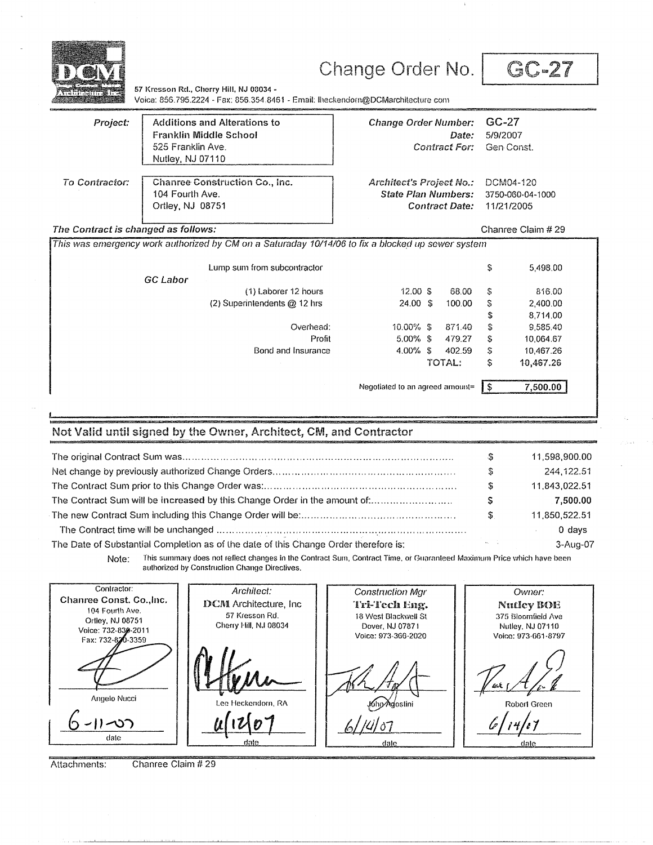

### Change Order No.

GC-27

57 Kresson Rd., Cherry Hill, NJ 08034 -Voice: 856.795.2224 - Fax: 856.354.8461 - Email: Iheckendorn@DCMarchitecture.com

| Project:              | <b>Additions and Alterations to</b><br>Franklin Middle School<br>525 Franklin Ave.<br>Nutley, NJ 07110 |
|-----------------------|--------------------------------------------------------------------------------------------------------|
| <b>To Contractor:</b> | <b>Chanree Construction Co., Inc.</b><br>104 Fourth Ave.<br>Ortley, NJ 08751                           |

| Change Order Number: GC-27 |                |
|----------------------------|----------------|
|                            | Date: 5/9/2007 |
| Contract For: Gen Const.   |                |

**Architect's Project No.: State Plan Numbers: Contract Date:** 

DCM04-120 3750-060-04-1000 11/21/2005

Chanree Claim # 29

#### The Contract is changed as follows:

|                 | Lump sum from subcontractor  |                    |        | S  | 5,498,00  |
|-----------------|------------------------------|--------------------|--------|----|-----------|
| <b>GC Labor</b> |                              |                    |        |    |           |
|                 | (1) Laborer 12 hours         | 12.00 \$           | 68.00  | S  | 816.00    |
|                 | (2) Superintendents @ 12 hrs | $24.00 \text{ } $$ | 100.00 | S  | 2,400.00  |
|                 |                              |                    |        | \$ | 8.714.00  |
|                 | Overhead:                    | $10.00\%$ \$       | 871.40 | S  | 9.585.40  |
|                 | Profit                       | $5.00\%$ \$        | 479.27 | S  | 10.064.67 |
|                 | Bond and Insurance           | $4.00\%$ \$        | 402.59 | S  | 10.467.26 |
|                 |                              |                    | TOTAL: | \$ | 10,467.26 |

### Not Valid until signed by the Owner, Architect, CM, and Contractor

| advision in the control of the company and the control of the company of the company of the company of the company of the company of the company of the company of the company of the company of the company of the company of |           |               |
|--------------------------------------------------------------------------------------------------------------------------------------------------------------------------------------------------------------------------------|-----------|---------------|
|                                                                                                                                                                                                                                | -S        | 11.598.900.00 |
|                                                                                                                                                                                                                                |           | 244.122.51    |
|                                                                                                                                                                                                                                | S         | 11.843.022.51 |
| The Contract Sum will be increased by this Change Order in the amount of:                                                                                                                                                      |           | 7,500.00      |
|                                                                                                                                                                                                                                | S.        | 11.850.522.51 |
|                                                                                                                                                                                                                                |           | $0$ days      |
| The Date of Substantial Completion as of the date of this Change Order therefore is:                                                                                                                                           | August 20 | 3-Aug-07      |

This summary does not reflect changes in the Contract Sum, Contract Time, or Guaranteed Maximum Price which have been Note: authorized by Construction Change Directives.

Contractor: Architect: **Construction Mgr** Owner: Chanree Const. Co., Inc. **DCM** Architecture, Inc. Tri-Tech Eng. Nutley BOE 104 Fourth Ave. 57 Kresson Rd. 18 West Blackwell St 375 Bloomfield Ave Ortley, NJ 08751 Cherry Hill, NJ 08034 Dover, NJ 07871 Nutley, NJ 07110 Voice: 732-830-2011 Voice: 973-366-2020 Voice: 973-661-8797 Fax: 732-820-3359 Angelo Nucci **John Agostini** feckendorn, RA Robert Green  $1 - 27$ date

Attachments: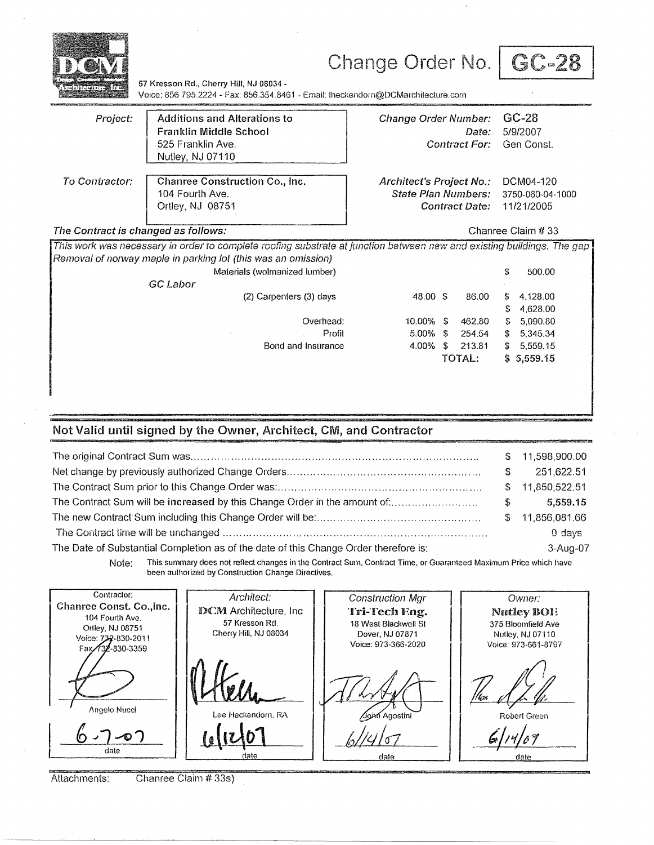| 1117777111777                       | 57 Kresson Rd., Cherry Hill, NJ 08034 -<br>Voice: 856 795.2224 - Fax: 856.354.8461 - Email: Iheckendorn@DCMarchilecture.com                                                                                                          | Change Order No.                                                                                                               | GC-28                                                                                               |  |
|-------------------------------------|--------------------------------------------------------------------------------------------------------------------------------------------------------------------------------------------------------------------------------------|--------------------------------------------------------------------------------------------------------------------------------|-----------------------------------------------------------------------------------------------------|--|
| Project:                            | <b>Additions and Alterations to</b><br>Franklin Middle School<br>525 Franklin Ave.<br>Nutley, NJ 07110                                                                                                                               | Change Order Number:<br>Date:<br>Contract For:                                                                                 | $GC-28$<br>5/9/2007<br>Gen Const.                                                                   |  |
| To Contractor:                      | Chanree Construction Co., Inc.<br>104 Fourth Ave.<br>Ortley, NJ 08751                                                                                                                                                                | Architect's Project No.:<br>DCM04-120<br><b>State Plan Numbers:</b><br>3750-060-04-1000<br>11/21/2005<br><b>Contract Date:</b> |                                                                                                     |  |
| The Contract is changed as follows: |                                                                                                                                                                                                                                      |                                                                                                                                | Chanree Claim # 33                                                                                  |  |
|                                     | This work was necessary in order to complete roofing substrate at junction between new and existing buildings. The gap<br>Removal of norway maple in parking lot (this was an omission)<br>Materials (wolmanized lumber)<br>GC Labor |                                                                                                                                | S,<br>500.00                                                                                        |  |
|                                     | (2) Carpenters (3) days<br>Overhead:<br>Profit<br>Bond and Insurance                                                                                                                                                                 | 48.00 S<br>86.00<br>462.80<br>$10.00\%$ S<br>$5.00\%$ S<br>254.54<br>4.00%<br>S<br>213.81<br>TOTAL:                            | \$<br>4,128.00<br>4,628.00<br>S<br>5,090.80<br>S.<br>5,345.34<br>\$<br>5,559.15<br>S.<br>\$5,559.15 |  |
|                                     |                                                                                                                                                                                                                                      |                                                                                                                                |                                                                                                     |  |

#### Not Valid until signed by the Owner, Architect, CM, and Contractor

|                                                                                      |    | \$11,598,900.00 |
|--------------------------------------------------------------------------------------|----|-----------------|
|                                                                                      | S. | 251,622.51      |
|                                                                                      |    | \$11,850,522.51 |
| The Contract Sum will be increased by this Change Order in the amount of:            | S. | 5,559.15        |
|                                                                                      |    | \$11,856,081,66 |
|                                                                                      |    | 0 days          |
| The Date of Substantial Completion as of the date of this Change Order therefore is: |    | 3-Aug-07        |
|                                                                                      |    |                 |

This summary does not reflect changes in the Contract Sum, Contract Time, or Guaranteed Maximum Price which have Note: been authorized by Construction Change Directives.

Contractor: Architect: **Construction Mgr** Owner: Chanree Const. Co., Inc. **DCM** Architecture, Inc. Tri-Tech Eng. Nutley BOI! 104 Fourth Ave. 57 Kresson Rd. 18 West Blackwell St 375 Bloomfield Ave Ortley, NJ 08751 Cherry Hill, NJ 08034 Dover, NJ 07871 Nutley, NJ 07110 Voice: 732-830-2011 Voice: 973-366-2020 Voice: 973-661-8797 -830-3359 Fax Angelo Nucci Lee Heckendorn, RA Robert Green John Agostini 6  $7 - 07$ date <u>dale</u> date

Attachments:

Chanree Claim # 33s)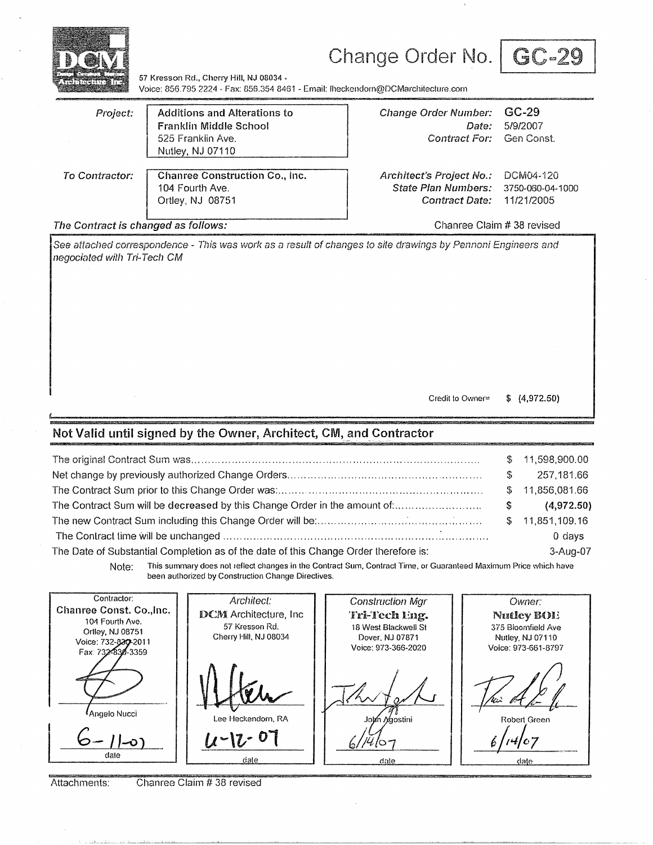

# Change Order No. | GC-29

57 Kresson Rd., Cherry Hill, NJ 08034 -Voice: 856.795 2224 · Fax: 856.354 8461 - Email: lheckendom@DCMarchitecture.com

| Project:                                                                                                                                           | <b>Additions and Alterations to</b><br><b>Franklin Middle School</b><br>525 Franklin Ave.<br>Nutley, NJ 07110                                                          | <b>Change Order Number:</b><br>Date:<br><b>Contract For:</b>                                                                         | $GC-29$<br>5/9/2007<br>Gen Const. |                                                                                                                |
|----------------------------------------------------------------------------------------------------------------------------------------------------|------------------------------------------------------------------------------------------------------------------------------------------------------------------------|--------------------------------------------------------------------------------------------------------------------------------------|-----------------------------------|----------------------------------------------------------------------------------------------------------------|
| To Contractor:                                                                                                                                     | <b>Chanree Construction Co., Inc.</b><br>104 Fourth Ave.<br>Ortley, NJ 08751                                                                                           | Architect's Project No.:<br><b>State Plan Numbers:</b><br><b>Contract Date:</b>                                                      |                                   | DCM04-120<br>3750-060-04-1000<br>11/21/2005                                                                    |
| The Contract is changed as follows:                                                                                                                |                                                                                                                                                                        |                                                                                                                                      |                                   | Chanree Claim # 38 revised                                                                                     |
| negociated with Tri-Tech CM                                                                                                                        | See attached correspondence - This was work as a result of changes to site drawings by Pennoni Engineers and                                                           |                                                                                                                                      |                                   |                                                                                                                |
|                                                                                                                                                    | Not Valid until signed by the Owner, Architect, CM, and Contractor                                                                                                     | Credit to Owner=                                                                                                                     |                                   | \$(4,972.50)                                                                                                   |
|                                                                                                                                                    |                                                                                                                                                                        |                                                                                                                                      |                                   | 11,598,900.00<br>\$                                                                                            |
|                                                                                                                                                    |                                                                                                                                                                        |                                                                                                                                      |                                   | 257,181.66<br>\$                                                                                               |
|                                                                                                                                                    |                                                                                                                                                                        |                                                                                                                                      |                                   | \$<br>11,856,081.66                                                                                            |
|                                                                                                                                                    | The Contract Sum will be decreased by this Change Order in the amount of:                                                                                              |                                                                                                                                      |                                   | \$<br>(4,972.50)                                                                                               |
|                                                                                                                                                    |                                                                                                                                                                        |                                                                                                                                      |                                   | S<br>11,851,109.16                                                                                             |
|                                                                                                                                                    |                                                                                                                                                                        |                                                                                                                                      |                                   | $0$ days                                                                                                       |
|                                                                                                                                                    | The Date of Substantial Completion as of the date of this Change Order therefore is:                                                                                   |                                                                                                                                      |                                   | 3-Aug-07                                                                                                       |
| Note:                                                                                                                                              | This summary does not reflect changes in the Contract Sum, Contract Time, or Guaranteed Maximum Price which have<br>been authorized by Construction Change Directives. |                                                                                                                                      |                                   |                                                                                                                |
| Contractor:<br>Chanree Const. Co., Inc.<br>104 Fourth Ave.<br>Ortley, NJ 08751<br>Voice: 732-337-2011<br>Fax: 732-830-3359<br>Angelo Nucci<br>date | Architect:<br><b>DCM</b> Architecture, Inc.<br>57 Kresson Rd.<br>Cherry Hill, NJ 08034<br>Lee Heckendorn, RA<br>$-17 - 07$<br>dale                                     | <b>Construction Mgr</b><br>Tri-Tech ling.<br>18 West Blackwell St<br>Dover, NJ 07871<br>Voice: 973-366-2020<br>John Mgostini<br>date |                                   | Owner:<br>Nutley BOI!<br>375 Bloomfield Ave<br>Nutley, NJ 07110<br>Voice: 973-661-8797<br>Robert Green<br>date |

Attachments: Chanree Claim # 38 revised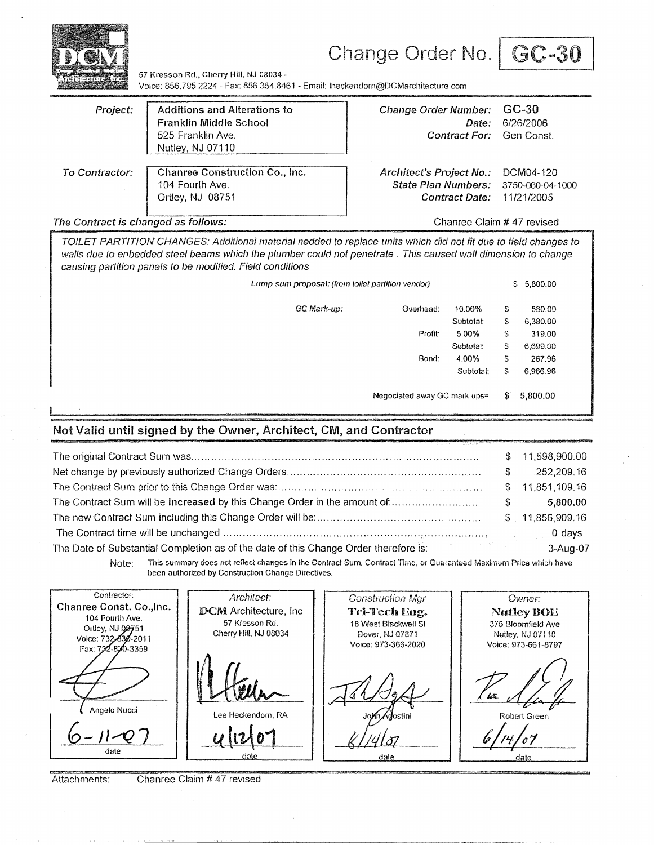

## Change Order No. | GC-30



57 Kresson Rd., Cherry Hill, NJ 08034 -Voice: 856.795 2224 · Fax: 856.354.8461 - Email: Iheckendorn@DCMarchitecture com

| Project:       | Additions and Alterations to<br>Franklin Middle School<br>525 Franklin Ave.<br>Nutley, NJ 07110 | <b>Change Order Number:</b><br>Date:<br>Contract For: Gen Const. | GC-30<br>6/26/2006 |
|----------------|-------------------------------------------------------------------------------------------------|------------------------------------------------------------------|--------------------|
| To Contractor: | <b>Chanree Construction Co., Inc.</b>                                                           | Architect's Project No.:                                         | DCM04-120          |
|                | 104 Fourth Ave.                                                                                 | State Plan Numbers:                                              | 3750-060-04-1000   |
|                | Ortley, NJ 08751                                                                                | Contract Date:                                                   | 11/21/2005         |

The Contract is changed as follows: Changed as follows: Changed as follows:

TOILET PARTITION CHANGES: Additional material nedded to replace units which did not fit due to field changes to walls due to enbedded steel beams which the plumber could not penetrate . This caused wall dimension to change causing partition panels to be moclified. Field conditions

|                |             | \$5,800.00 |                              |    |          |
|----------------|-------------|------------|------------------------------|----|----------|
|                | GC Mark-up: | Overhead:  | 10.00%                       | S  | 580.00   |
|                |             |            | Subtotal:                    | s  | 6,380.00 |
|                |             | Profit:    | 5.00%                        | S  | 319.00   |
|                |             |            | Subtolal:                    | s  | 6,699.00 |
|                |             | Bond:      | 4.00%                        | s  | 267.96   |
|                |             |            | Subtotal:                    | s  | 6,966.96 |
|                |             |            | Negociated away GC mark ups= | S. | 5,800.00 |
| Ď<br>$\bullet$ |             |            |                              |    |          |

### **Not Valid until signed by the Owner, Architect, CM, and Contractor**

|                                                                           |    | \$11,598,900.00 |
|---------------------------------------------------------------------------|----|-----------------|
|                                                                           |    | 252,209.16      |
|                                                                           |    | \$11,851,109.16 |
| The Contract Sum will be increased by this Change Order in the amount of: | S. | 5,800,00        |
|                                                                           |    | \$11,856,909.16 |
|                                                                           |    | 0 days          |
|                                                                           |    | 3-Aug-07        |

Note: This summary does not reflect changes in the Contract Sum. Contract Time, or Guaranteed Maximum Price which have been authorized by Construction Change Directives.

Contractor: Architect: **Construction Mgr** Owner: Chanree **Const.** Co.,lnc. DCM Architecture, Inc Tri-Tech Eng. **NntleyBOE**  104 Fourth Ave. 57 Kresson Rd. 18 West Blackwell St 375 Bloomfield Ave Ortley, NJ 08751 Cherry Hill, NJ 08034 Dover, N.l 07871 Nutley, NJ07110 Voice: 732-830-2011 Voice: 973-366-2020 Voice: 973-661-8797 Fax: 732-820-3359  $\mu$ Angelo Nucci Lee Heckendorn. RA Robert Green *~!tt/21* . , .G-n~J date

Attachments: Chanree Claim # 47 revised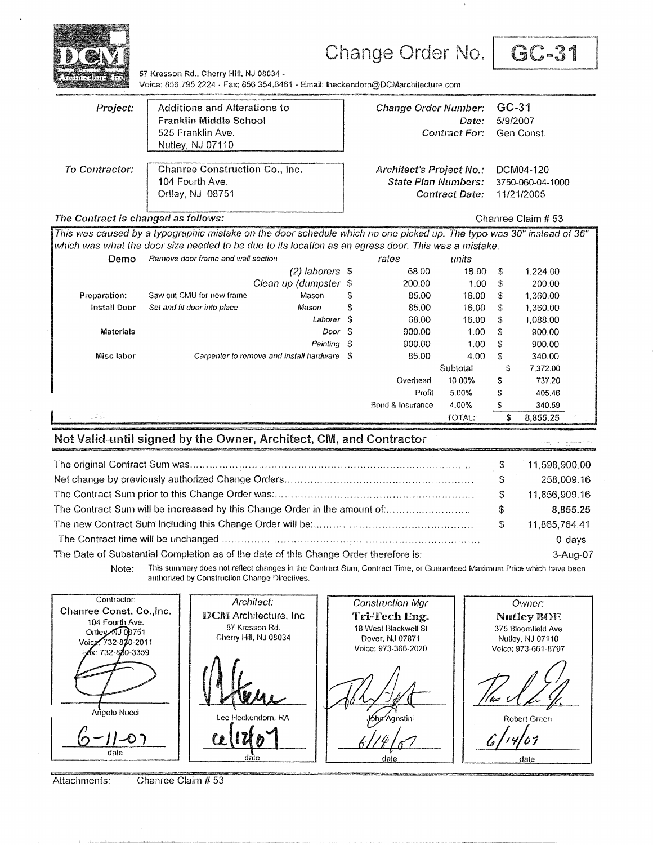|                                                                                                      |                                                                       |    |                                          |        | Change Order No.                                                                                                      |                       |                     | GC-31                                       |
|------------------------------------------------------------------------------------------------------|-----------------------------------------------------------------------|----|------------------------------------------|--------|-----------------------------------------------------------------------------------------------------------------------|-----------------------|---------------------|---------------------------------------------|
| 11.11                                                                                                | 57 Kresson Rd., Cherry Hill, NJ 08034 -                               |    |                                          |        | Voice: 856.795.2224 - Fax: 856.354.8461 - Email: Iheckendorn@DCMarchitecture.com                                      |                       |                     |                                             |
| Project:                                                                                             | Additions and Alterations to<br>Franklin Middle School                |    |                                          |        | <b>Change Order Number:</b>                                                                                           | Date:                 | $GC-31$<br>5/9/2007 |                                             |
|                                                                                                      | 525 Franklin Ave.<br>Nutley, NJ 07110                                 |    |                                          |        |                                                                                                                       | <b>Contract For:</b>  |                     | Gen Const.                                  |
| To Contractor:                                                                                       | Chanree Construction Co., Inc.<br>104 Fourth Ave.<br>Ortley, NJ 08751 |    |                                          |        | Architect's Project No.:<br><b>State Plan Numbers:</b>                                                                | <b>Contract Date:</b> |                     | DCM04-120<br>3750-060-04-1000<br>11/21/2005 |
| The Contract is changed as follows:                                                                  |                                                                       |    |                                          |        |                                                                                                                       |                       |                     | Chanree Claim # 53                          |
|                                                                                                      |                                                                       |    |                                          |        | This was caused by a typographic mistake on the door schedule which no one picked up. The typo was 30" instead of 36" |                       |                     |                                             |
| which was what the door size needed to be due to its location as an egress door. This was a mistake. |                                                                       |    |                                          |        |                                                                                                                       |                       |                     |                                             |
| Demo                                                                                                 | Remove door frame and wall section                                    |    | $(2)$ laborers $$$                       |        | rates<br>68.00                                                                                                        | units<br>18.00        | S                   | 1,224.00                                    |
|                                                                                                      |                                                                       |    | Clean up (dumpster \$                    |        | 200.00                                                                                                                | 1.00                  | \$                  | 200.00                                      |
| Preparation:                                                                                         | Saw cut CMU for new frame                                             |    | Mason                                    | S      | 85.00                                                                                                                 | 16.00                 | S                   | 1,360.00                                    |
| <b>Install Door</b>                                                                                  | Set and fit door into place                                           |    | Mason                                    | S      | 85.00                                                                                                                 | 16.00                 | \$                  | 1,360.00                                    |
|                                                                                                      |                                                                       |    | Laborer                                  | -S     | 68.00                                                                                                                 | 16.00                 | \$                  | 1,088.00                                    |
| <b>Materials</b>                                                                                     |                                                                       |    |                                          | Door S | 900.00                                                                                                                | 1.00                  | s                   | 900.00                                      |
|                                                                                                      |                                                                       |    | Painting                                 | -S     | 900.00                                                                                                                | 1.00                  | \$                  | 900.00                                      |
| Misc labor                                                                                           |                                                                       |    | Carpenter to remove and install hardware | - S    | 85.00                                                                                                                 | 4.00                  | \$                  | 340.00                                      |
|                                                                                                      |                                                                       |    |                                          |        |                                                                                                                       | Subtotal              | S                   | 7,372.00                                    |
|                                                                                                      |                                                                       |    |                                          |        | Overhead                                                                                                              | 10.00%                | S                   | 737.20                                      |
|                                                                                                      |                                                                       |    |                                          |        | Profit                                                                                                                | 5.00%                 | S                   | 405.46                                      |
|                                                                                                      |                                                                       |    |                                          |        | Bond & Insurance                                                                                                      | 4.00%                 | S                   | 340.59                                      |
|                                                                                                      |                                                                       |    |                                          |        |                                                                                                                       | TOTAL:                | S                   | 8,855.25                                    |
| Not Valid-until signed by the Owner, Architect, CM, and Contractor                                   |                                                                       |    |                                          |        |                                                                                                                       |                       |                     |                                             |
|                                                                                                      |                                                                       |    |                                          |        |                                                                                                                       |                       | S                   | 11,598,900.00                               |
|                                                                                                      |                                                                       |    |                                          |        |                                                                                                                       |                       | S                   | 258,009.16                                  |
|                                                                                                      |                                                                       |    |                                          |        |                                                                                                                       |                       | S                   | 11,856,909.16                               |
| The Contract Sum will be increased by this Change Order in the amount of:                            |                                                                       |    |                                          |        |                                                                                                                       |                       | \$                  | 8,855.25                                    |
|                                                                                                      |                                                                       |    |                                          |        |                                                                                                                       |                       | S                   | 11,865,764.41                               |
|                                                                                                      |                                                                       |    |                                          |        |                                                                                                                       |                       |                     | 0 days                                      |
| The Date of Substantial Completion as of the date of this Change Order therefore is:                 |                                                                       |    |                                          |        |                                                                                                                       |                       |                     | 3-Aug-07                                    |
| Note:                                                                                                | authorized by Construction Change Directives.                         |    |                                          |        | This summary does not reflect changes in the Contract Sum, Contract Time, or Guaranteed Maximum Price which have been |                       |                     |                                             |
| Contractor:                                                                                          |                                                                       |    | Architect:                               |        | Construction Mgr                                                                                                      |                       |                     | Owner:                                      |
| Chanree Const. Co., Inc.                                                                             |                                                                       |    | <b>DCM</b> Architecture, Inc.            |        | Tri-Tech Eng.                                                                                                         |                       |                     | <b>Nutley BOE</b>                           |
| 104 Fourth Ave.<br>Ortley AJ 03751                                                                   |                                                                       |    | 57 Kresson Rd.                           |        | 18 West Blackwell St                                                                                                  |                       |                     | 375 Bloomfield Ave                          |
| Voice: 732-810-2011                                                                                  |                                                                       |    | Cherry Hill, NJ 08034                    |        | Dover, NJ 07871                                                                                                       |                       |                     | Nulley, NJ 07110                            |
| FAx: 732-880-3359                                                                                    |                                                                       |    |                                          |        | Voice: 973-366-2020                                                                                                   |                       |                     | Voice: 973-661-8797                         |
|                                                                                                      |                                                                       |    |                                          |        |                                                                                                                       |                       |                     |                                             |
| Angelo Nucci                                                                                         |                                                                       |    | Lee Heckendorn, RA                       |        | Kiha⁄Agostini                                                                                                         |                       |                     | Robert Green                                |
| dale                                                                                                 |                                                                       | Ce |                                          |        | dale                                                                                                                  |                       |                     | مثعك                                        |

 $\mathcal{A}$ 

Attachments:

Ĭ.

Chanree Claim # 53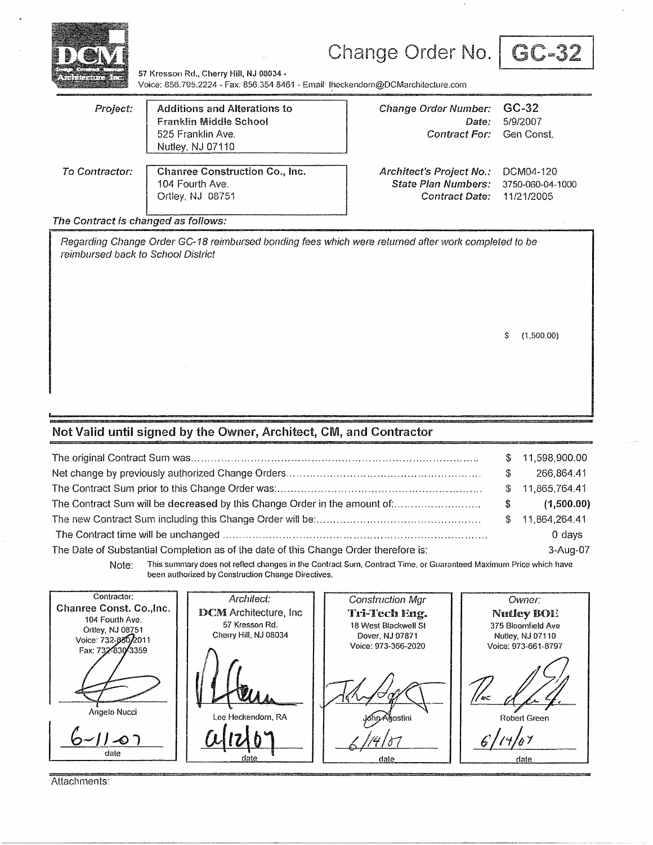

# Change Order No. | GC-32



57 Kresson Rd., Cherry Hill, NJ 08034 -Voice: 856.795.2224 - Fax: 856.354.8461 - Email: Iheckendorn@DCMarchitecture.com

| Project:       | <b>Additions and Alterations to</b><br><b>Franklin Middle School</b><br>525 Franklin Ave.<br>Nutley, NJ 07110 | <b>Change Order Number:</b><br>Date:<br>Contract For: Gen Const. | GC-32<br>5/9/2007 |
|----------------|---------------------------------------------------------------------------------------------------------------|------------------------------------------------------------------|-------------------|
| To Contractor: | Chanree Construction Co., Inc.                                                                                | Architect's Project No.:                                         | DCM04-120         |
|                | 104 Fourth Ave.                                                                                               | State Plan Numbers:                                              | 3750-060-04-1000  |
|                | Ortley, NJ 08751                                                                                              | <b>Contract Date:</b>                                            | 11/21/2005        |

#### The Contract is changed as follows:

Regarding Change Order GC-18 reimbursed bonding fees which were returned after work completed to be reimbursed back to School District

\$ (1,500.00)

### **Not Valid until signed by the Owner, Architect, CM, and Contractor**

|                                                                                      |    | \$11,598,900.00  |
|--------------------------------------------------------------------------------------|----|------------------|
|                                                                                      | S  | 266.864.41       |
|                                                                                      |    | \$11,865,764.41  |
| The Contract Sum will be decreased by this Change Order in the amount of:            | S. | (1,500.00)       |
|                                                                                      |    | \$ 11,864,264.41 |
|                                                                                      |    | $0$ days         |
| The Date of Substantial Completion as of the date of this Change Order therefore is: |    | 3-Aug-07         |

Note: This summary does not reflect changes in the Contract Sum, Contract Time, or Guaranteed Maximum Price which have been authorized by Construction Change Directives.

Contractor: Architect: Construction Mgr Owner: Chanree Const. Co.,lnc. DCM Architecture, Inc **Tri-Tech Eng. Nutley BOI!** 104 Fourth Ave.<br>Ortley, NJ 08751 57 Kresson Rd. 18 West Blackwell St 375 Bloomfield Ave Cherry Hill. NJ 08034 Dover. NJ 07871 Nutley, NJ 07110 Voice: 732-830/2011 Voice: 973-366-2020 Voice: 973-661-8797 Fax: 732-830-3359 -יש Angelo Nucci Hobert Green Lee Heckendorn, RA ∧∛aostini  $a(x|0)$  | \_ |<br>|s\*1  $11-07$ dale date dale

Attachments: